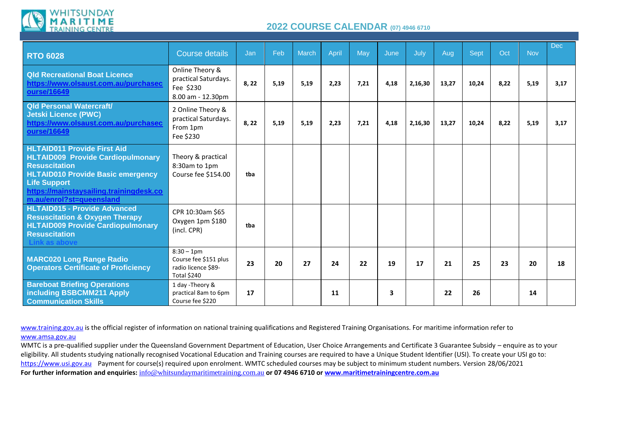

## **2022 COURSE CALENDAR (07) 4946 <sup>6710</sup>**

| <b>RTO 6028</b>                                                                                                                                                                                                                                  | <b>Course details</b>                                                               | Jan  | Feb  | <b>March</b> | <b>April</b> | May  | June | July    | Aug   | Sept  | Oct  | <b>Nov</b> | <b>Dec</b> |
|--------------------------------------------------------------------------------------------------------------------------------------------------------------------------------------------------------------------------------------------------|-------------------------------------------------------------------------------------|------|------|--------------|--------------|------|------|---------|-------|-------|------|------------|------------|
| <b>Qld Recreational Boat Licence</b><br>https://www.olsaust.com.au/purchasec<br>ourse/16649                                                                                                                                                      | Online Theory &<br>practical Saturdays.<br>Fee \$230<br>8.00 am - 12.30pm           | 8,22 | 5,19 | 5,19         | 2,23         | 7,21 | 4,18 | 2,16,30 | 13,27 | 10,24 | 8,22 | 5,19       | 3,17       |
| <b>Qld Personal Watercraft/</b><br><b>Jetski Licence (PWC)</b><br>https://www.olsaust.com.au/purchasec<br>ourse/16649                                                                                                                            | 2 Online Theory &<br>practical Saturdays.<br>From 1pm<br>Fee \$230                  | 8,22 | 5,19 | 5,19         | 2,23         | 7,21 | 4,18 | 2,16,30 | 13,27 | 10,24 | 8.22 | 5,19       | 3,17       |
| <b>HLTAID011 Provide First Aid</b><br><b>HLTAID009 Provide Cardiopulmonary</b><br><b>Resuscitation</b><br><b>HLTAID010 Provide Basic emergency</b><br><b>Life Support</b><br>https://mainstaysailing.trainingdesk.co<br>m.au/enrol?st=queensland | Theory & practical<br>8:30am to 1pm<br>Course fee \$154.00                          | tba  |      |              |              |      |      |         |       |       |      |            |            |
| <b>HLTAID015 - Provide Advanced</b><br><b>Resuscitation &amp; Oxygen Therapy</b><br><b>HLTAID009 Provide Cardiopulmonary</b><br><b>Resuscitation</b><br>as above                                                                                 | CPR 10:30am \$65<br>Oxygen 1pm \$180<br>(incl. CPR)                                 | tba  |      |              |              |      |      |         |       |       |      |            |            |
| <b>MARC020 Long Range Radio</b><br><b>Operators Certificate of Proficiency</b>                                                                                                                                                                   | $8:30 - 1$ pm<br>Course fee \$151 plus<br>radio licence \$89-<br><b>Total \$240</b> | 23   | 20   | 27           | 24           | 22   | 19   | 17      | 21    | 25    | 23   | 20         | 18         |
| <b>Bareboat Briefing Operations</b><br>including BSBCMM211 Apply<br><b>Communication Skills</b>                                                                                                                                                  | 1 day - Theory &<br>practical 8am to 6pm<br>Course fee \$220                        | 17   |      |              | 11           |      | 3    |         | 22    | 26    |      | 14         |            |

[www.training.gov.au](http://www.training.gov.au/) is the official register of information on national training qualifications and Registered Training Organisations. For maritime information refer to [www.amsa.gov.au](http://www.amsa.gov.au/)

WMTC is a pre-qualified supplier under the Queensland Government Department of Education, User Choice Arrangements and Certificate 3 Guarantee Subsidy – enquire as to your eligibility. All students studying nationally recognised Vocational Education and Training courses are required to have a Unique Student Identifier (USI). To create your USI go to: [https://www.usi.gov.au](https://www.usi.gov.au/) Payment for course(s) required upon enrolment. WMTC scheduled courses may be subject to minimum student numbers. Version 28/06/2021 **For further information and enquiries:** [info@whitsundaymaritimetraining.com.au](mailto:info@whitsundaymaritimetraining.com.au) **or 07 4946 6710 or [www.maritimetrainingcentre.com.au](http://www.maritimetrainingcentre.com.au/)**